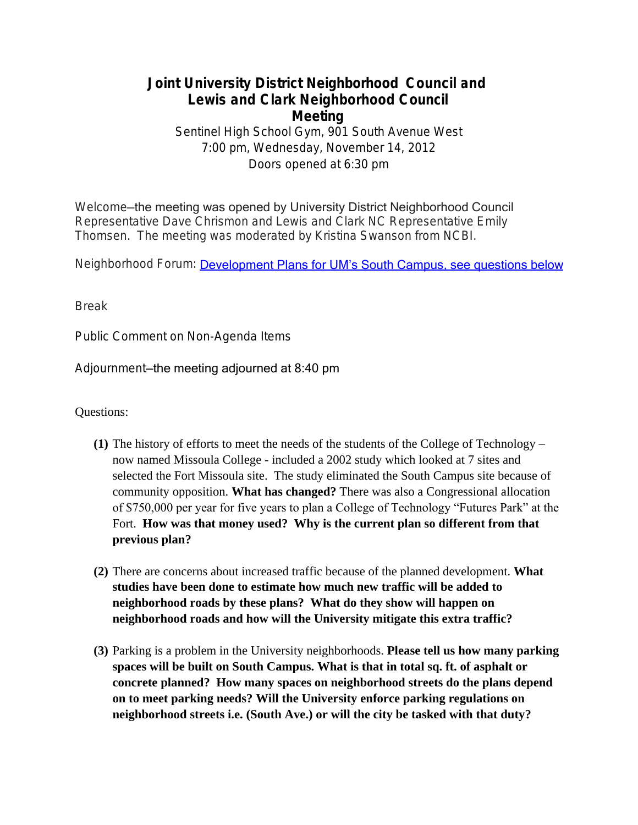## **Joint University District Neighborhood Council and Lewis and Clark Neighborhood Council Meeting**

Sentinel High School Gym, 901 South Avenue West 7:00 pm, Wednesday, November 14, 2012 Doors opened at 6:30 pm

Welcome—the meeting was opened by University District Neighborhood Council Representative Dave Chrismon and Lewis and Clark NC Representative Emily Thomsen. The meeting was moderated by Kristina Swanson from NCBI.

Neighborhood Forum: [Development Plans for UM's South Campus, see questions b](https://www.youtube.com/watch?v=mJjMZX3UXCs&list=UUqjpv7zEieDOmoBdpiVoMPQ)elow

Break

Public Comment on Non-Agenda Items

Adjournment—the meeting adjourned at 8:40 pm

Questions:

- **(1)** The history of efforts to meet the needs of the students of the College of Technology now named Missoula College - included a 2002 study which looked at 7 sites and selected the Fort Missoula site. The study eliminated the South Campus site because of community opposition. **What has changed?** There was also a Congressional allocation of \$750,000 per year for five years to plan a College of Technology "Futures Park" at the Fort. **How was that money used? Why is the current plan so different from that previous plan?**
- **(2)** There are concerns about increased traffic because of the planned development. **What studies have been done to estimate how much new traffic will be added to neighborhood roads by these plans? What do they show will happen on neighborhood roads and how will the University mitigate this extra traffic?**
- **(3)** Parking is a problem in the University neighborhoods. **Please tell us how many parking spaces will be built on South Campus. What is that in total sq. ft. of asphalt or concrete planned? How many spaces on neighborhood streets do the plans depend on to meet parking needs? Will the University enforce parking regulations on neighborhood streets i.e. (South Ave.) or will the city be tasked with that duty?**